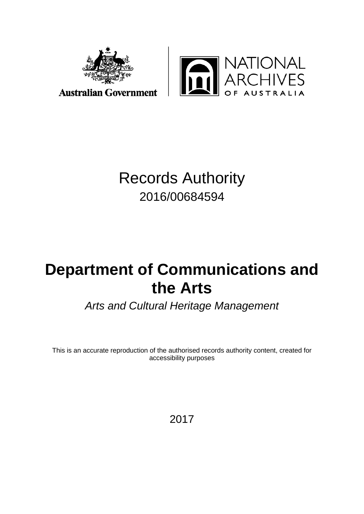



**Australian Government** 

## Records Authority 2016/00684594

# **Department of Communications and the Arts**

*Arts and Cultural Heritage Management*

This is an accurate reproduction of the authorised records authority content, created for accessibility purposes

2017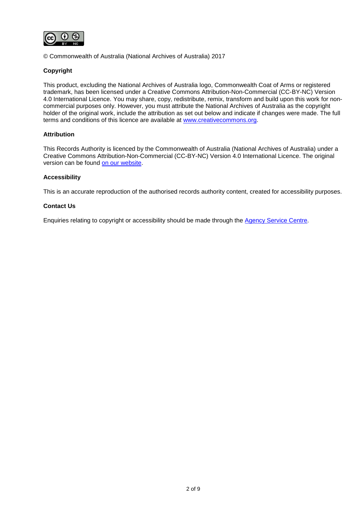

© Commonwealth of Australia (National Archives of Australia) 2017

#### **Copyright**

This product, excluding the National Archives of Australia logo, Commonwealth Coat of Arms or registered trademark, has been licensed under a Creative Commons Attribution-Non-Commercial (CC-BY-NC) Version 4.0 International Licence. You may share, copy, redistribute, remix, transform and build upon this work for noncommercial purposes only. However, you must attribute the National Archives of Australia as the copyright holder of the original work, include the attribution as set out below and indicate if changes were made. The full terms and conditions of this licence are available at [www.creativecommons.org.](http://www.creativecommons.org/)

#### **Attribution**

This Records Authority is licenced by the Commonwealth of Australia (National Archives of Australia) under a Creative Commons Attribution-Non-Commercial (CC-BY-NC) Version 4.0 International Licence. The original version can be found [on our website.](http://www.naa.gov.au/)

#### **Accessibility**

This is an accurate reproduction of the authorised records authority content, created for accessibility purposes.

#### **Contact Us**

Enquiries relating to copyright or accessibility should be made through the [Agency Service Centre.](http://reftracker.naa.gov.au/reft100.aspx?pmi=uWkCi2WFgp)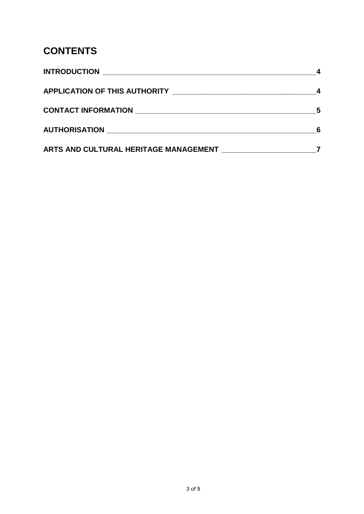### **CONTENTS**

| <b>INTRODUCTION</b>                   |  |
|---------------------------------------|--|
|                                       |  |
| CONTACT INFORMATION NATION            |  |
|                                       |  |
| ARTS AND CULTURAL HERITAGE MANAGEMENT |  |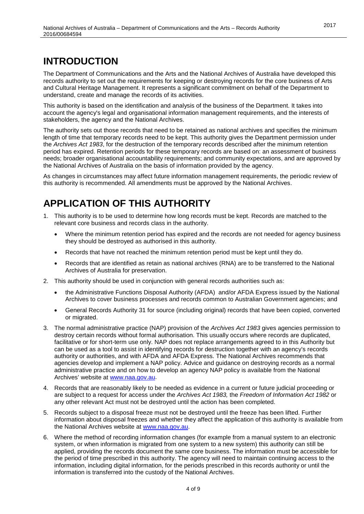### <span id="page-3-0"></span>**INTRODUCTION**

The Department of Communications and the Arts and the National Archives of Australia have developed this records authority to set out the requirements for keeping or destroying records for the core business of Arts and Cultural Heritage Management. It represents a significant commitment on behalf of the Department to understand, create and manage the records of its activities.

This authority is based on the identification and analysis of the business of the Department. It takes into account the agency's legal and organisational information management requirements, and the interests of stakeholders, the agency and the National Archives.

The authority sets out those records that need to be retained as national archives and specifies the minimum length of time that temporary records need to be kept. This authority gives the Department permission under the *Archives Act 1983*, for the destruction of the temporary records described after the minimum retention period has expired. Retention periods for these temporary records are based on: an assessment of business needs; broader organisational accountability requirements; and community expectations, and are approved by the National Archives of Australia on the basis of information provided by the agency.

As changes in circumstances may affect future information management requirements, the periodic review of this authority is recommended. All amendments must be approved by the National Archives.

### <span id="page-3-1"></span>**APPLICATION OF THIS AUTHORITY**

- 1. This authority is to be used to determine how long records must be kept. Records are matched to the relevant core business and records class in the authority.
	- Where the minimum retention period has expired and the records are not needed for agency business they should be destroyed as authorised in this authority.
	- Records that have not reached the minimum retention period must be kept until they do.
	- Records that are identified as retain as national archives (RNA) are to be transferred to the National Archives of Australia for preservation.
- 2. This authority should be used in conjunction with general records authorities such as:
	- the Administrative Functions Disposal Authority (AFDA) and/or AFDA Express issued by the National Archives to cover business processes and records common to Australian Government agencies; and
	- General Records Authority 31 for source (including original) records that have been copied, converted or migrated.
- 3. The normal administrative practice (NAP) provision of the *Archives Act 1983* gives agencies permission to destroy certain records without formal authorisation. This usually occurs where records are duplicated, facilitative or for short-term use only. NAP does not replace arrangements agreed to in this Authority but can be used as a tool to assist in identifying records for destruction together with an agency's records authority or authorities, and with AFDA and AFDA Express. The National Archives recommends that agencies develop and implement a NAP policy. Advice and guidance on destroying records as a normal administrative practice and on how to develop an agency NAP policy is available from the National Archives' website at [www.naa.gov.au.](http://www.naa.gov.au/)
- 4. Records that are reasonably likely to be needed as evidence in a current or future judicial proceeding or are subject to a request for access under the *Archives Act 1983,* the *Freedom of Information Act 1982* or any other relevant Act must not be destroyed until the action has been completed.
- 5. Records subject to a disposal freeze must not be destroyed until the freeze has been lifted. Further information about disposal freezes and whether they affect the application of this authority is available from the National Archives website at [www.naa.gov.au.](http://www.naa.gov.au/)
- 6. Where the method of recording information changes (for example from a manual system to an electronic system, or when information is migrated from one system to a new system) this authority can still be applied, providing the records document the same core business. The information must be accessible for the period of time prescribed in this authority. The agency will need to maintain continuing access to the information, including digital information, for the periods prescribed in this records authority or until the information is transferred into the custody of the National Archives.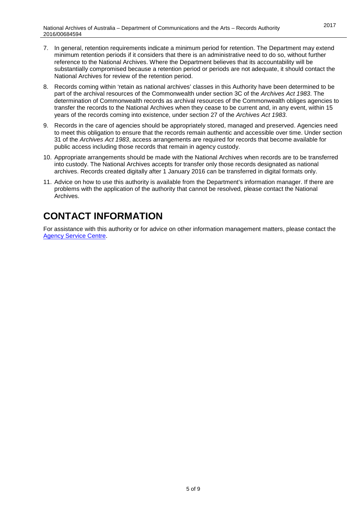- 7. In general, retention requirements indicate a minimum period for retention. The Department may extend minimum retention periods if it considers that there is an administrative need to do so, without further reference to the National Archives. Where the Department believes that its accountability will be substantially compromised because a retention period or periods are not adequate, it should contact the National Archives for review of the retention period.
- 8. Records coming within 'retain as national archives' classes in this Authority have been determined to be part of the archival resources of the Commonwealth under section 3C of the *Archives Act 1983*. The determination of Commonwealth records as archival resources of the Commonwealth obliges agencies to transfer the records to the National Archives when they cease to be current and, in any event, within 15 years of the records coming into existence, under section 27 of the *Archives Act 1983*.
- 9. Records in the care of agencies should be appropriately stored, managed and preserved. Agencies need to meet this obligation to ensure that the records remain authentic and accessible over time. Under section 31 of the *Archives Act 1983*, access arrangements are required for records that become available for public access including those records that remain in agency custody.
- 10. Appropriate arrangements should be made with the National Archives when records are to be transferred into custody. The National Archives accepts for transfer only those records designated as national archives. Records created digitally after 1 January 2016 can be transferred in digital formats only.
- 11. Advice on how to use this authority is available from the Department's information manager. If there are problems with the application of the authority that cannot be resolved, please contact the National Archives.

### <span id="page-4-0"></span>**CONTACT INFORMATION**

For assistance with this authority or for advice on other information management matters, please contact the [Agency Service Centre.](http://reftracker.naa.gov.au/reft100.aspx?pmi=uWkCi2WFgp)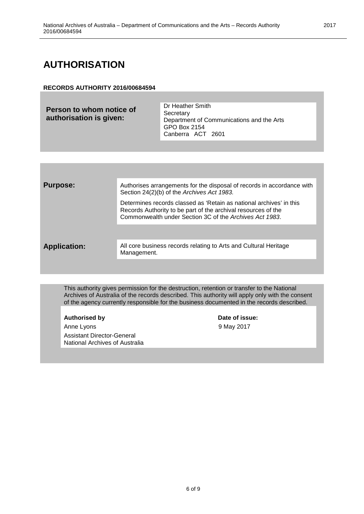### <span id="page-5-0"></span>**AUTHORISATION**

#### **RECORDS AUTHORITY 2016/00684594**

| Person to whom notice of<br>authorisation is given: | Dr Heather Smith<br>Secretary<br>Department of Communications and the Arts<br>GPO Box 2154<br>Canberra ACT 2601 |
|-----------------------------------------------------|-----------------------------------------------------------------------------------------------------------------|
|                                                     |                                                                                                                 |

| <b>Purpose:</b>     | Authorises arrangements for the disposal of records in accordance with<br>Section 24(2)(b) of the Archives Act 1983.                                                                            |
|---------------------|-------------------------------------------------------------------------------------------------------------------------------------------------------------------------------------------------|
|                     | Determines records classed as 'Retain as national archives' in this<br>Records Authority to be part of the archival resources of the<br>Commonwealth under Section 3C of the Archives Act 1983. |
|                     |                                                                                                                                                                                                 |
| <b>Application:</b> | All core business records relating to Arts and Cultural Heritage<br>Management.                                                                                                                 |
|                     |                                                                                                                                                                                                 |

This authority gives permission for the destruction, retention or transfer to the National Archives of Australia of the records described. This authority will apply only with the consent of the agency currently responsible for the business documented in the records described.

#### **Authorised** by

Anne Lyons Assistant Director-General National Archives of Australia

| Date of issue: |  |
|----------------|--|
| 9 May 2017     |  |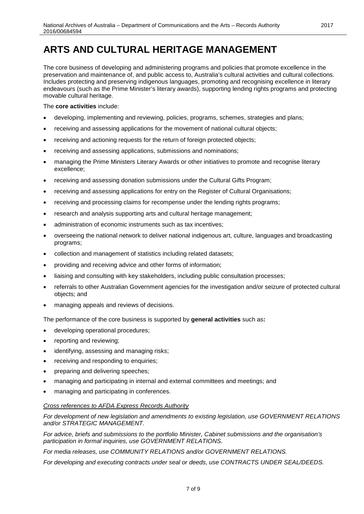### <span id="page-6-0"></span>**ARTS AND CULTURAL HERITAGE MANAGEMENT**

The core business of developing and administering programs and policies that promote excellence in the preservation and maintenance of, and public access to, Australia's cultural activities and cultural collections. Includes protecting and preserving indigenous languages, promoting and recognising excellence in literary endeavours (such as the Prime Minister's literary awards), supporting lending rights programs and protecting movable cultural heritage.

#### The **core activities** include:

- developing, implementing and reviewing, policies, programs, schemes, strategies and plans;
- receiving and assessing applications for the movement of national cultural objects;
- receiving and actioning requests for the return of foreign protected objects;
- receiving and assessing applications, submissions and nominations;
- managing the Prime Ministers Literary Awards or other initiatives to promote and recognise literary excellence;
- receiving and assessing donation submissions under the Cultural Gifts Program;
- receiving and assessing applications for entry on the Register of Cultural Organisations:
- receiving and processing claims for recompense under the lending rights programs;
- research and analysis supporting arts and cultural heritage management;
- administration of economic instruments such as tax incentives:
- overseeing the national network to deliver national indigenous art, culture, languages and broadcasting programs;
- collection and management of statistics including related datasets;
- providing and receiving advice and other forms of information;
- liaising and consulting with key stakeholders, including public consultation processes;
- referrals to other Australian Government agencies for the investigation and/or seizure of protected cultural objects; and
- managing appeals and reviews of decisions.

The performance of the core business is supported by **general activities** such as**:**

- developing operational procedures;
- reporting and reviewing;
- identifying, assessing and managing risks;
- receiving and responding to enquiries;
- preparing and delivering speeches;
- managing and participating in internal and external committees and meetings; and
- managing and participating in conferences.

#### *Cross references to AFDA Express Records Authority*

*For development of new legislation and amendments to existing legislation, use GOVERNMENT RELATIONS and/or STRATEGIC MANAGEMENT.*

*For advice, briefs and submissions to the portfolio Minister, Cabinet submissions and the organisation's participation in formal inquiries, use GOVERNMENT RELATIONS.*

*For media releases, use COMMUNITY RELATIONS and/or GOVERNMENT RELATIONS.*

*For developing and executing contracts under seal or deeds, use CONTRACTS UNDER SEAL/DEEDS.*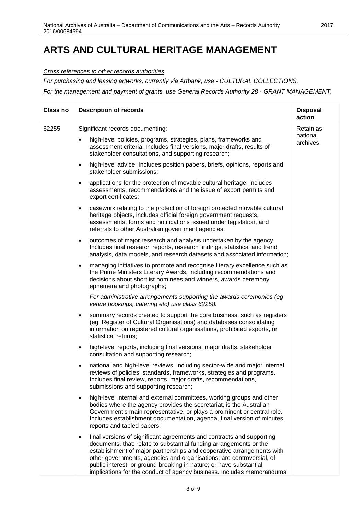### **ARTS AND CULTURAL HERITAGE MANAGEMENT**

*Cross references to other records authorities*

*For purchasing and leasing artworks, currently via Artbank, use - CULTURAL COLLECTIONS.*

*For the management and payment of grants, use General Records Authority 28 - GRANT MANAGEMENT.*

| <b>Class no</b> | <b>Description of records</b>                                                                                                                                                                                                                                                                                                                                                                                                                    | <b>Disposal</b><br>action         |
|-----------------|--------------------------------------------------------------------------------------------------------------------------------------------------------------------------------------------------------------------------------------------------------------------------------------------------------------------------------------------------------------------------------------------------------------------------------------------------|-----------------------------------|
| 62255           | Significant records documenting:<br>high-level policies, programs, strategies, plans, frameworks and<br>$\bullet$<br>assessment criteria. Includes final versions, major drafts, results of<br>stakeholder consultations, and supporting research;                                                                                                                                                                                               | Retain as<br>national<br>archives |
|                 | high-level advice. Includes position papers, briefs, opinions, reports and<br>$\bullet$<br>stakeholder submissions;                                                                                                                                                                                                                                                                                                                              |                                   |
|                 | applications for the protection of movable cultural heritage, includes<br>$\bullet$<br>assessments, recommendations and the issue of export permits and<br>export certificates;                                                                                                                                                                                                                                                                  |                                   |
|                 | casework relating to the protection of foreign protected movable cultural<br>$\bullet$<br>heritage objects, includes official foreign government requests,<br>assessments, forms and notifications issued under legislation, and<br>referrals to other Australian government agencies;                                                                                                                                                           |                                   |
|                 | outcomes of major research and analysis undertaken by the agency.<br>$\bullet$<br>Includes final research reports, research findings, statistical and trend<br>analysis, data models, and research datasets and associated information;                                                                                                                                                                                                          |                                   |
|                 | managing initiatives to promote and recognise literary excellence such as<br>$\bullet$<br>the Prime Ministers Literary Awards, including recommendations and<br>decisions about shortlist nominees and winners, awards ceremony<br>ephemera and photographs;                                                                                                                                                                                     |                                   |
|                 | For administrative arrangements supporting the awards ceremonies (eg<br>venue bookings, catering etc) use class 62258.                                                                                                                                                                                                                                                                                                                           |                                   |
|                 | summary records created to support the core business, such as registers<br>٠<br>(eg. Register of Cultural Organisations) and databases consolidating<br>information on registered cultural organisations, prohibited exports, or<br>statistical returns;                                                                                                                                                                                         |                                   |
|                 | high-level reports, including final versions, major drafts, stakeholder<br>$\bullet$<br>consultation and supporting research;                                                                                                                                                                                                                                                                                                                    |                                   |
|                 | national and high-level reviews, including sector-wide and major internal<br>$\bullet$<br>reviews of policies, standards, frameworks, strategies and programs.<br>Includes final review, reports, major drafts, recommendations,<br>submissions and supporting research;                                                                                                                                                                         |                                   |
|                 | high-level internal and external committees, working groups and other<br>$\bullet$<br>bodies where the agency provides the secretariat, is the Australian<br>Government's main representative, or plays a prominent or central role.<br>Includes establishment documentation, agenda, final version of minutes,<br>reports and tabled papers;                                                                                                    |                                   |
|                 | final versions of significant agreements and contracts and supporting<br>٠<br>documents, that: relate to substantial funding arrangements or the<br>establishment of major partnerships and cooperative arrangements with<br>other governments, agencies and organisations; are controversial, of<br>public interest, or ground-breaking in nature; or have substantial<br>implications for the conduct of agency business. Includes memorandums |                                   |